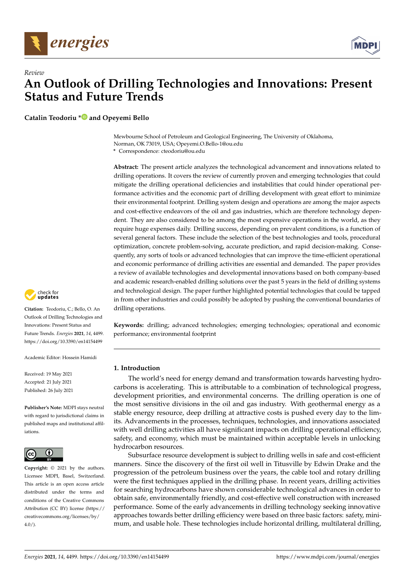



**Catalin Teodoriu [\\*](https://orcid.org/0000-0003-2159-0516) and Opeyemi Bello**

Mewbourne School of Petroleum and Geological Engineering, The University of Oklahoma, Norman, OK 73019, USA; Opeyemi.O.Bello-1@ou.edu

**\*** Correspondence: cteodoriu@ou.edu

**Abstract:** The present article analyzes the technological advancement and innovations related to drilling operations. It covers the review of currently proven and emerging technologies that could mitigate the drilling operational deficiencies and instabilities that could hinder operational performance activities and the economic part of drilling development with great effort to minimize their environmental footprint. Drilling system design and operations are among the major aspects and cost-effective endeavors of the oil and gas industries, which are therefore technology dependent. They are also considered to be among the most expensive operations in the world, as they require huge expenses daily. Drilling success, depending on prevalent conditions, is a function of several general factors. These include the selection of the best technologies and tools, procedural optimization, concrete problem-solving, accurate prediction, and rapid decision-making. Consequently, any sorts of tools or advanced technologies that can improve the time-efficient operational and economic performance of drilling activities are essential and demanded. The paper provides a review of available technologies and developmental innovations based on both company-based and academic research-enabled drilling solutions over the past 5 years in the field of drilling systems and technological design. The paper further highlighted potential technologies that could be tapped in from other industries and could possibly be adopted by pushing the conventional boundaries of drilling operations.

**Keywords:** drilling; advanced technologies; emerging technologies; operational and economic performance; environmental footprint

## **1. Introduction**

The world's need for energy demand and transformation towards harvesting hydrocarbons is accelerating. This is attributable to a combination of technological progress, development priorities, and environmental concerns. The drilling operation is one of the most sensitive divisions in the oil and gas industry. With geothermal energy as a stable energy resource, deep drilling at attractive costs is pushed every day to the limits. Advancements in the processes, techniques, technologies, and innovations associated with well drilling activities all have significant impacts on drilling operational efficiency, safety, and economy, which must be maintained within acceptable levels in unlocking hydrocarbon resources.

Subsurface resource development is subject to drilling wells in safe and cost-efficient manners. Since the discovery of the first oil well in Titusville by Edwin Drake and the progression of the petroleum business over the years, the cable tool and rotary drilling were the first techniques applied in the drilling phase. In recent years, drilling activities for searching hydrocarbons have shown considerable technological advances in order to obtain safe, environmentally friendly, and cost-effective well construction with increased performance. Some of the early advancements in drilling technology seeking innovative approaches towards better drilling efficiency were based on three basic factors: safety, minimum, and usable hole. These technologies include horizontal drilling, multilateral drilling,



**Citation:** Teodoriu, C.; Bello, O. An Outlook of Drilling Technologies and Innovations: Present Status and Future Trends. *Energies* **2021**, *14*, 4499. <https://doi.org/10.3390/en14154499>

Academic Editor: Hossein Hamidi

Received: 19 May 2021 Accepted: 21 July 2021 Published: 26 July 2021

**Publisher's Note:** MDPI stays neutral with regard to jurisdictional claims in published maps and institutional affiliations.



**Copyright:** © 2021 by the authors. Licensee MDPI, Basel, Switzerland. This article is an open access article distributed under the terms and conditions of the Creative Commons Attribution (CC BY) license (https:/[/](https://creativecommons.org/licenses/by/4.0/) [creativecommons.org/licenses/by/](https://creativecommons.org/licenses/by/4.0/)  $4.0/$ ).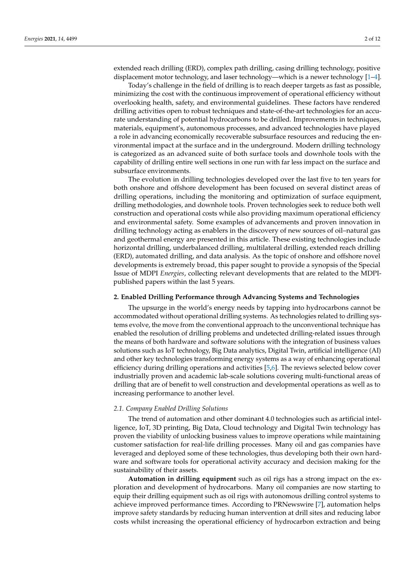extended reach drilling (ERD), complex path drilling, casing drilling technology, positive displacement motor technology, and laser technology—which is a newer technology [\[1](#page-10-0)[–4\]](#page-10-1).

Today's challenge in the field of drilling is to reach deeper targets as fast as possible, minimizing the cost with the continuous improvement of operational efficiency without overlooking health, safety, and environmental guidelines. These factors have rendered drilling activities open to robust techniques and state-of-the-art technologies for an accurate understanding of potential hydrocarbons to be drilled. Improvements in techniques, materials, equipment's, autonomous processes, and advanced technologies have played a role in advancing economically recoverable subsurface resources and reducing the environmental impact at the surface and in the underground. Modern drilling technology is categorized as an advanced suite of both surface tools and downhole tools with the capability of drilling entire well sections in one run with far less impact on the surface and subsurface environments.

The evolution in drilling technologies developed over the last five to ten years for both onshore and offshore development has been focused on several distinct areas of drilling operations, including the monitoring and optimization of surface equipment, drilling methodologies, and downhole tools. Proven technologies seek to reduce both well construction and operational costs while also providing maximum operational efficiency and environmental safety. Some examples of advancements and proven innovation in drilling technology acting as enablers in the discovery of new sources of oil–natural gas and geothermal energy are presented in this article. These existing technologies include horizontal drilling, underbalanced drilling, multilateral drilling, extended reach drilling (ERD), automated drilling, and data analysis. As the topic of onshore and offshore novel developments is extremely broad, this paper sought to provide a synopsis of the Special Issue of MDPI *Energies*, collecting relevant developments that are related to the MDPIpublished papers within the last 5 years.

#### **2. Enabled Drilling Performance through Advancing Systems and Technologies**

The upsurge in the world's energy needs by tapping into hydrocarbons cannot be accommodated without operational drilling systems. As technologies related to drilling systems evolve, the move from the conventional approach to the unconventional technique has enabled the resolution of drilling problems and undetected drilling-related issues through the means of both hardware and software solutions with the integration of business values solutions such as IoT technology, Big Data analytics, Digital Twin, artificial intelligence (AI) and other key technologies transforming energy systems as a way of enhancing operational efficiency during drilling operations and activities [\[5](#page-10-2)[,6\]](#page-10-3). The reviews selected below cover industrially proven and academic lab-scale solutions covering multi-functional areas of drilling that are of benefit to well construction and developmental operations as well as to increasing performance to another level.

## *2.1. Company Enabled Drilling Solutions*

The trend of automation and other dominant 4.0 technologies such as artificial intelligence, IoT, 3D printing, Big Data, Cloud technology and Digital Twin technology has proven the viability of unlocking business values to improve operations while maintaining customer satisfaction for real-life drilling processes. Many oil and gas companies have leveraged and deployed some of these technologies, thus developing both their own hardware and software tools for operational activity accuracy and decision making for the sustainability of their assets.

**Automation in drilling equipment** such as oil rigs has a strong impact on the exploration and development of hydrocarbons. Many oil companies are now starting to equip their drilling equipment such as oil rigs with autonomous drilling control systems to achieve improved performance times. According to PRNewswire [\[7\]](#page-10-4), automation helps improve safety standards by reducing human intervention at drill sites and reducing labor costs whilst increasing the operational efficiency of hydrocarbon extraction and being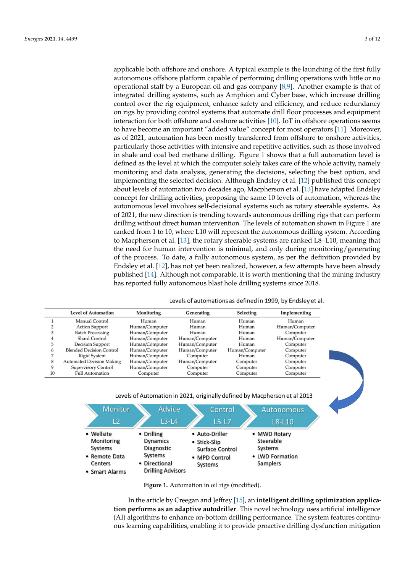applicable both offshore and onshore. A typical example is the launching of the first fully autonomous offshore platform capable of performing drilling operations with little or no operational staff by a European oil and gas company [\[8](#page-10-5)[,9\]](#page-10-6). Another example is that of integrated drilling systems, such as Amphion and Cyber base, which increase drilling control over the rig equipment, enhance safety and efficiency, and reduce redundancy on rigs by providing control systems that automate drill floor processes and equipment interaction for both offshore and onshore activities [\[10\]](#page-10-7). IoT in offshore operations seems to have become an important "added value" concept for most operators [\[11\]](#page-10-8). Moreover, as of 2021, automation has been mostly transferred from offshore to onshore activities, particularly those activities with intensive and repetitive activities, such as those involved in shale and coal bed methane drilling. Figure [1](#page-2-0) shows that a full automation level is defined as the level at which the computer solely takes care of the whole activity, namely monitoring and data analysis, generating the decisions, selecting the best option, and implementing the selected decision. Although Endsley et al. [\[12\]](#page-10-9) published this concept about levels of automation two decades ago, Macpherson et al. [\[13\]](#page-10-10) have adapted Endsley concept for drilling activities, proposing the same 10 levels of automation, whereas the autonomous level involves self-decisional systems such as rotary steerable systems. As of 2021, the new direction is trending towards autonomous drilling rigs that can perform drilling without direct human intervention. The levels of automation shown in Figure [1](#page-2-0) are ranked from 1 to 10, where L10 will represent the autonomous drilling system. According to Macpherson et al. [\[13\]](#page-10-10), the rotary steerable systems are ranked L8–L10, meaning that the need for human intervention is minimal, and only during monitoring/generating of the process. To date, a fully autonomous system, as per the definition provided by Endsley et al. [\[12\]](#page-10-9), has not yet been realized, however, a few attempts have been already published [\[14\]](#page-10-11). Although not comparable, it is worth mentioning that the mining industry has reported fully autonomous blast hole drilling systems since 2018.

Levels of automations as defined in 1999, by Endsley et al.

<span id="page-2-0"></span>

|    | <b>Level of Automation</b>       | Monitoring     | Generating     | Selecting      | Implementing   |
|----|----------------------------------|----------------|----------------|----------------|----------------|
|    | Manual Control                   | Human          | Human          | Human          | Human          |
|    | <b>Action Support</b>            | Human/Computer | Human          | Human          | Human/Computer |
|    | <b>Batch Processing</b>          | Human/Computer | Human          | Human          | Computer       |
|    | <b>Shard Control</b>             | Human/Computer | Human/Computer | Human          | Human/Computer |
|    | <b>Decision Support</b>          | Human/Computer | Human/Computer | Human          | Computer       |
|    | <b>Blended Decision Control</b>  | Human/Computer | Human/Computer | Human/Computer | Computer       |
|    | <b>Rigid System</b>              | Human/Computer | Computer       | Human          | Computer       |
|    | <b>Automated Decision Making</b> | Human/Computer | Human/Computer | Computer       | Computer       |
| 9  | <b>Supervisory Control</b>       | Human/Computer | Computer       | Computer       | Computer       |
| 10 | <b>Full Automation</b>           | Computer       | Computer       | Computer       | Computer       |

Levels of Automation in 2021, originally defined by Macpherson et al 2013



**Figure 1.** Automation in oil rigs (modified).

In the article by Creegan and Jeffrey [\[15\]](#page-10-12), an **intelligent drilling optimization application performs as an adaptive autodriller**. This novel technology uses artificial intelligence (AI) algorithms to enhance on-bottom drilling performance. The system features continuous learning capabilities, enabling it to provide proactive drilling dysfunction mitigation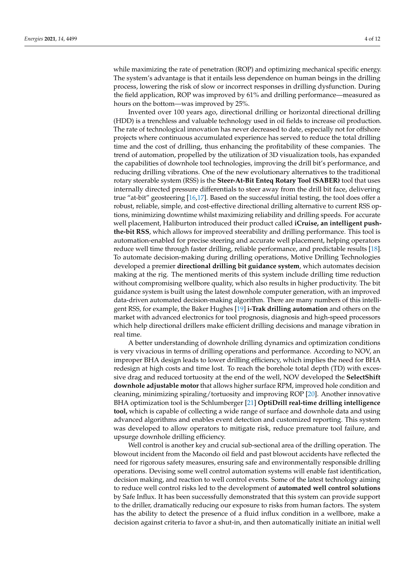while maximizing the rate of penetration (ROP) and optimizing mechanical specific energy. The system's advantage is that it entails less dependence on human beings in the drilling process, lowering the risk of slow or incorrect responses in drilling dysfunction. During the field application, ROP was improved by 61% and drilling performance—measured as hours on the bottom—was improved by 25%.

Invented over 100 years ago, directional drilling or horizontal directional drilling (HDD) is a trenchless and valuable technology used in oil fields to increase oil production. The rate of technological innovation has never decreased to date, especially not for offshore projects where continuous accumulated experience has served to reduce the total drilling time and the cost of drilling, thus enhancing the profitability of these companies. The trend of automation, propelled by the utilization of 3D visualization tools, has expanded the capabilities of downhole tool technologies, improving the drill bit's performance, and reducing drilling vibrations. One of the new evolutionary alternatives to the traditional rotary steerable system (RSS) is the **Steer-At-Bit Enteq Rotary Tool (SABER)** tool that uses internally directed pressure differentials to steer away from the drill bit face, delivering true "at-bit" geosteering [\[16,](#page-10-13)[17\]](#page-10-14). Based on the successful initial testing, the tool does offer a robust, reliable, simple, and cost-effective directional drilling alternative to current RSS options, minimizing downtime whilst maximizing reliability and drilling speeds. For accurate well placement, Haliburton introduced their product called **iCruise, an intelligent pushthe-bit RSS**, which allows for improved steerability and drilling performance. This tool is automation-enabled for precise steering and accurate well placement, helping operators reduce well time through faster drilling, reliable performance, and predictable results [\[18\]](#page-10-15). To automate decision-making during drilling operations, Motive Drilling Technologies developed a premier **directional drilling bit guidance system**, which automates decision making at the rig. The mentioned merits of this system include drilling time reduction without compromising wellbore quality, which also results in higher productivity. The bit guidance system is built using the latest downhole computer generation, with an improved data-driven automated decision-making algorithm. There are many numbers of this intelligent RSS, for example, the Baker Hughes [\[19\]](#page-10-16) **i-Trak drilling automation** and others on the market with advanced electronics for tool prognosis, diagnosis and high-speed processors which help directional drillers make efficient drilling decisions and manage vibration in real time.

A better understanding of downhole drilling dynamics and optimization conditions is very vivacious in terms of drilling operations and performance. According to NOV, an improper BHA design leads to lower drilling efficiency, which implies the need for BHA redesign at high costs and time lost. To reach the borehole total depth (TD) with excessive drag and reduced tortuosity at the end of the well, NOV developed the **SelectShift downhole adjustable motor** that allows higher surface RPM, improved hole condition and cleaning, minimizing spiraling/tortuosity and improving ROP [\[20\]](#page-10-17). Another innovative BHA optimization tool is the Schlumberger [\[21\]](#page-10-18) **OptiDrill real-time drilling intelligence tool,** which is capable of collecting a wide range of surface and downhole data and using advanced algorithms and enables event detection and customized reporting. This system was developed to allow operators to mitigate risk, reduce premature tool failure, and upsurge downhole drilling efficiency.

Well control is another key and crucial sub-sectional area of the drilling operation. The blowout incident from the Macondo oil field and past blowout accidents have reflected the need for rigorous safety measures, ensuring safe and environmentally responsible drilling operations. Devising some well control automation systems will enable fast identification, decision making, and reaction to well control events. Some of the latest technology aiming to reduce well control risks led to the development of **automated well control solutions** by Safe Influx. It has been successfully demonstrated that this system can provide support to the driller, dramatically reducing our exposure to risks from human factors. The system has the ability to detect the presence of a fluid influx condition in a wellbore, make a decision against criteria to favor a shut-in, and then automatically initiate an initial well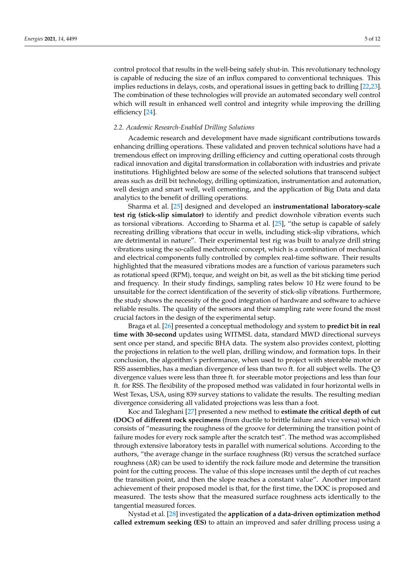control protocol that results in the well-being safely shut-in. This revolutionary technology is capable of reducing the size of an influx compared to conventional techniques. This implies reductions in delays, costs, and operational issues in getting back to drilling [\[22](#page-10-19)[,23\]](#page-10-20). The combination of these technologies will provide an automated secondary well control which will result in enhanced well control and integrity while improving the drilling efficiency [\[24\]](#page-10-21).

#### *2.2. Academic Research-Enabled Drilling Solutions*

Academic research and development have made significant contributions towards enhancing drilling operations. These validated and proven technical solutions have had a tremendous effect on improving drilling efficiency and cutting operational costs through radical innovation and digital transformation in collaboration with industries and private institutions. Highlighted below are some of the selected solutions that transcend subject areas such as drill bit technology, drilling optimization, instrumentation and automation, well design and smart well, well cementing, and the application of Big Data and data analytics to the benefit of drilling operations.

Sharma et al. [\[25\]](#page-10-22) designed and developed an **instrumentational laboratory-scale test rig (stick-slip simulator)** to identify and predict downhole vibration events such as torsional vibrations. According to Sharma et al. [\[25\]](#page-10-22), "the setup is capable of safely recreating drilling vibrations that occur in wells, including stick-slip vibrations, which are detrimental in nature". Their experimental test rig was built to analyze drill string vibrations using the so-called mechatronic concept, which is a combination of mechanical and electrical components fully controlled by complex real-time software. Their results highlighted that the measured vibrations modes are a function of various parameters such as rotational speed (RPM), torque, and weight on bit, as well as the bit sticking time period and frequency. In their study findings, sampling rates below 10 Hz were found to be unsuitable for the correct identification of the severity of stick-slip vibrations. Furthermore, the study shows the necessity of the good integration of hardware and software to achieve reliable results. The quality of the sensors and their sampling rate were found the most crucial factors in the design of the experimental setup.

Braga et al. [\[26\]](#page-10-23) presented a conceptual methodology and system to **predict bit in real time with 30-second** updates using WITMSL data, standard MWD directional surveys sent once per stand, and specific BHA data. The system also provides context, plotting the projections in relation to the well plan, drilling window, and formation tops. In their conclusion, the algorithm's performance, when used to project with steerable motor or RSS assemblies, has a median divergence of less than two ft. for all subject wells. The Q3 divergence values were less than three ft. for steerable motor projections and less than four ft. for RSS. The flexibility of the proposed method was validated in four horizontal wells in West Texas, USA, using 839 survey stations to validate the results. The resulting median divergence considering all validated projections was less than a foot.

Koc and Taleghani [\[27\]](#page-10-24) presented a new method to **estimate the critical depth of cut (DOC) of different rock specimens** (from ductile to brittle failure and vice versa) which consists of "measuring the roughness of the groove for determining the transition point of failure modes for every rock sample after the scratch test". The method was accomplished through extensive laboratory tests in parallel with numerical solutions. According to the authors, "the average change in the surface roughness (Rt) versus the scratched surface roughness (∆R) can be used to identify the rock failure mode and determine the transition point for the cutting process. The value of this slope increases until the depth of cut reaches the transition point, and then the slope reaches a constant value". Another important achievement of their proposed model is that, for the first time, the DOC is proposed and measured. The tests show that the measured surface roughness acts identically to the tangential measured forces.

Nystad et al. [\[28\]](#page-10-25) investigated the **application of a data-driven optimization method called extremum seeking (ES)** to attain an improved and safer drilling process using a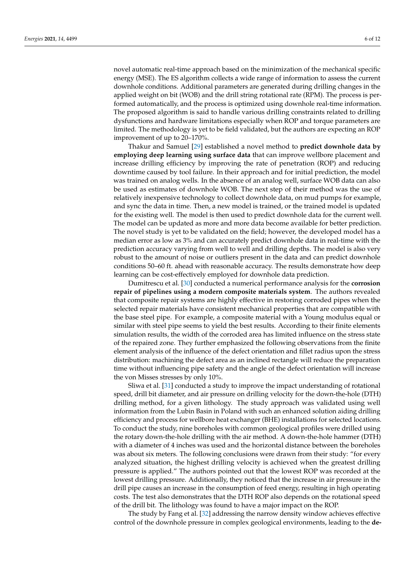novel automatic real-time approach based on the minimization of the mechanical specific energy (MSE). The ES algorithm collects a wide range of information to assess the current downhole conditions. Additional parameters are generated during drilling changes in the applied weight on bit (WOB) and the drill string rotational rate (RPM). The process is performed automatically, and the process is optimized using downhole real-time information. The proposed algorithm is said to handle various drilling constraints related to drilling dysfunctions and hardware limitations especially when ROP and torque parameters are limited. The methodology is yet to be field validated, but the authors are expecting an ROP improvement of up to 20–170%.

Thakur and Samuel [\[29\]](#page-10-26) established a novel method to **predict downhole data by employing deep learning using surface data** that can improve wellbore placement and increase drilling efficiency by improving the rate of penetration (ROP) and reducing downtime caused by tool failure. In their approach and for initial prediction, the model was trained on analog wells. In the absence of an analog well, surface WOB data can also be used as estimates of downhole WOB. The next step of their method was the use of relatively inexpensive technology to collect downhole data, on mud pumps for example, and sync the data in time. Then, a new model is trained, or the trained model is updated for the existing well. The model is then used to predict downhole data for the current well. The model can be updated as more and more data become available for better prediction. The novel study is yet to be validated on the field; however, the developed model has a median error as low as 3% and can accurately predict downhole data in real-time with the prediction accuracy varying from well to well and drilling depths. The model is also very robust to the amount of noise or outliers present in the data and can predict downhole conditions 50–60 ft. ahead with reasonable accuracy. The results demonstrate how deep learning can be cost-effectively employed for downhole data prediction.

Dumitrescu et al. [\[30\]](#page-10-27) conducted a numerical performance analysis for the **corrosion repair of pipelines using a modern composite materials system**. The authors revealed that composite repair systems are highly effective in restoring corroded pipes when the selected repair materials have consistent mechanical properties that are compatible with the base steel pipe. For example, a composite material with a Young modulus equal or similar with steel pipe seems to yield the best results. According to their finite elements simulation results, the width of the corroded area has limited influence on the stress state of the repaired zone. They further emphasized the following observations from the finite element analysis of the influence of the defect orientation and fillet radius upon the stress distribution: machining the defect area as an inclined rectangle will reduce the preparation time without influencing pipe safety and the angle of the defect orientation will increase the von Misses stresses by only 10%.

Sliwa et al. [\[31\]](#page-11-0) conducted a study to improve the impact understanding of rotational speed, drill bit diameter, and air pressure on drilling velocity for the down-the-hole (DTH) drilling method, for a given lithology. The study approach was validated using well information from the Lubin Basin in Poland with such an enhanced solution aiding drilling efficiency and process for wellbore heat exchanger (BHE) installations for selected locations. To conduct the study, nine boreholes with common geological profiles were drilled using the rotary down-the-hole drilling with the air method. A down-the-hole hammer (DTH) with a diameter of 4 inches was used and the horizontal distance between the boreholes was about six meters. The following conclusions were drawn from their study: "for every analyzed situation, the highest drilling velocity is achieved when the greatest drilling pressure is applied." The authors pointed out that the lowest ROP was recorded at the lowest drilling pressure. Additionally, they noticed that the increase in air pressure in the drill pipe causes an increase in the consumption of feed energy, resulting in high operating costs. The test also demonstrates that the DTH ROP also depends on the rotational speed of the drill bit. The lithology was found to have a major impact on the ROP.

The study by Fang et al. [\[32\]](#page-11-1) addressing the narrow density window achieves effective control of the downhole pressure in complex geological environments, leading to the **de-**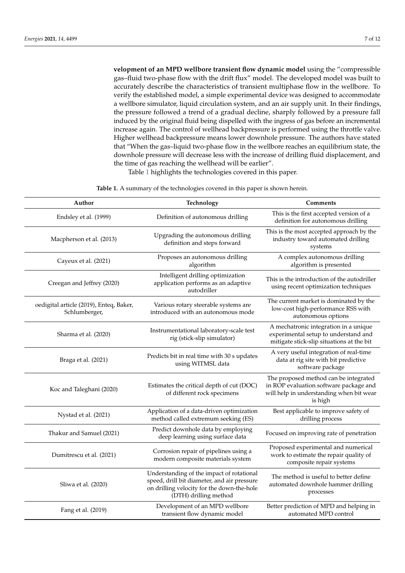**velopment of an MPD wellbore transient flow dynamic model** using the "compressible gas–fluid two-phase flow with the drift flux" model. The developed model was built to accurately describe the characteristics of transient multiphase flow in the wellbore. To verify the established model, a simple experimental device was designed to accommodate a wellbore simulator, liquid circulation system, and an air supply unit. In their findings, the pressure followed a trend of a gradual decline, sharply followed by a pressure fall induced by the original fluid being dispelled with the ingress of gas before an incremental increase again. The control of wellhead backpressure is performed using the throttle valve. Higher wellhead backpressure means lower downhole pressure. The authors have stated that "When the gas–liquid two-phase flow in the wellbore reaches an equilibrium state, the

downhole pressure will decrease less with the increase of drilling fluid displacement, and

Table [1](#page-6-0) highlights the technologies covered in this paper.

<span id="page-6-0"></span>

| Author                                                   | Technology                                                                                                                                                      | <b>Comments</b>                                                                                                                        |
|----------------------------------------------------------|-----------------------------------------------------------------------------------------------------------------------------------------------------------------|----------------------------------------------------------------------------------------------------------------------------------------|
| Endsley et al. (1999)                                    | Definition of autonomous drilling                                                                                                                               | This is the first accepted version of a<br>definition for autonomous drilling                                                          |
| Macpherson et al. (2013)                                 | Upgrading the autonomous drilling<br>definition and steps forward                                                                                               | This is the most accepted approach by the<br>industry toward automated drilling<br>systems                                             |
| Cayeux et al. (2021)                                     | Proposes an autonomous drilling<br>algorithm                                                                                                                    | A complex autonomous drilling<br>algorithm is presented                                                                                |
| Creegan and Jeffrey (2020)                               | Intelligent drilling optimization<br>application performs as an adaptive<br>autodriller                                                                         | This is the introduction of the autodriller<br>using recent optimization techniques                                                    |
| oedigital article (2019), Enteq, Baker,<br>Schlumberger, | Various rotary steerable systems are<br>introduced with an autonomous mode                                                                                      | The current market is dominated by the<br>low-cost high-performance RSS with<br>autonomous options                                     |
| Sharma et al. (2020)                                     | Instrumentational laboratory-scale test<br>rig (stick-slip simulator)                                                                                           | A mechatronic integration in a unique<br>experimental setup to understand and<br>mitigate stick-slip situations at the bit             |
| Braga et al. (2021)                                      | Predicts bit in real time with 30 s updates<br>using WITMSL data                                                                                                | A very useful integration of real-time<br>data at rig site with bit predictive<br>software package                                     |
| Koc and Taleghani (2020)                                 | Estimates the critical depth of cut (DOC)<br>of different rock specimens                                                                                        | The proposed method can be integrated<br>in ROP evaluation software package and<br>will help in understanding when bit wear<br>is high |
| Nystad et al. (2021)                                     | Application of a data-driven optimization<br>method called extremum seeking (ES)                                                                                | Best applicable to improve safety of<br>drilling process                                                                               |
| Thakur and Samuel (2021)                                 | Predict downhole data by employing<br>deep learning using surface data                                                                                          | Focused on improving rate of penetration                                                                                               |
| Dumitrescu et al. (2021)                                 | Corrosion repair of pipelines using a<br>modern composite materials system                                                                                      | Proposed experimental and numerical<br>work to estimate the repair quality of<br>composite repair systems                              |
| Sliwa et al. (2020)                                      | Understanding of the impact of rotational<br>speed, drill bit diameter, and air pressure<br>on drilling velocity for the down-the-hole<br>(DTH) drilling method | The method is useful to better define<br>automated downhole hammer drilling<br>processes                                               |
| Fang et al. (2019)                                       | Development of an MPD wellbore<br>transient flow dynamic model                                                                                                  | Better prediction of MPD and helping in<br>automated MPD control                                                                       |

**Table 1.** A summary of the technologies covered in this paper is shown herein.

the time of gas reaching the wellhead will be earlier".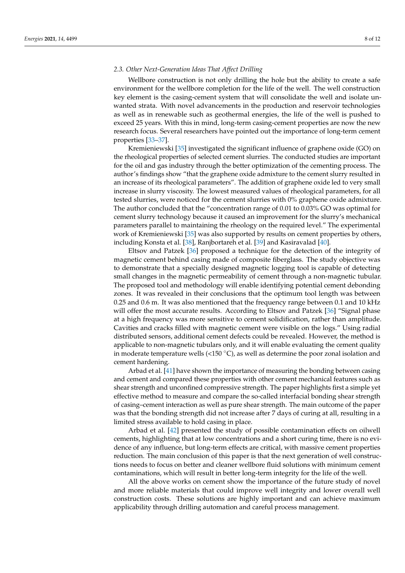### *2.3. Other Next-Generation Ideas That Affect Drilling*

Wellbore construction is not only drilling the hole but the ability to create a safe environment for the wellbore completion for the life of the well. The well construction key element is the casing-cement system that will consolidate the well and isolate unwanted strata. With novel advancements in the production and reservoir technologies as well as in renewable such as geothermal energies, the life of the well is pushed to exceed 25 years. With this in mind, long-term casing-cement properties are now the new research focus. Several researchers have pointed out the importance of long-term cement properties [\[33–](#page-11-2)[37\]](#page-11-3).

Kremieniewski [\[35\]](#page-11-4) investigated the significant influence of graphene oxide (GO) on the rheological properties of selected cement slurries. The conducted studies are important for the oil and gas industry through the better optimization of the cementing process. The author's findings show "that the graphene oxide admixture to the cement slurry resulted in an increase of its rheological parameters". The addition of graphene oxide led to very small increase in slurry viscosity. The lowest measured values of rheological parameters, for all tested slurries, were noticed for the cement slurries with 0% graphene oxide admixture. The author concluded that the "concentration range of 0.01 to 0.03% GO was optimal for cement slurry technology because it caused an improvement for the slurry's mechanical parameters parallel to maintaining the rheology on the required level." The experimental work of Kremieniewski [\[35\]](#page-11-4) was also supported by results on cement properties by others, including Konsta et al. [\[38\]](#page-11-5), Ranjbortareh et al. [\[39\]](#page-11-6) and Kasiravalad [\[40\]](#page-11-7).

Eltsov and Patzek [\[36\]](#page-11-8) proposed a technique for the detection of the integrity of magnetic cement behind casing made of composite fiberglass. The study objective was to demonstrate that a specially designed magnetic logging tool is capable of detecting small changes in the magnetic permeability of cement through a non-magnetic tubular. The proposed tool and methodology will enable identifying potential cement debonding zones. It was revealed in their conclusions that the optimum tool length was between 0.25 and 0.6 m. It was also mentioned that the frequency range between 0.1 and 10 kHz will offer the most accurate results. According to Eltsov and Patzek [\[36\]](#page-11-8) "Signal phase at a high frequency was more sensitive to cement solidification, rather than amplitude. Cavities and cracks filled with magnetic cement were visible on the logs." Using radial distributed sensors, additional cement defects could be revealed. However, the method is applicable to non-magnetic tubulars only, and it will enable evaluating the cement quality in moderate temperature wells  $\left($ <150 °C), as well as determine the poor zonal isolation and cement hardening.

Arbad et al. [\[41\]](#page-11-9) have shown the importance of measuring the bonding between casing and cement and compared these properties with other cement mechanical features such as shear strength and unconfined compressive strength. The paper highlights first a simple yet effective method to measure and compare the so-called interfacial bonding shear strength of casing–cement interaction as well as pure shear strength. The main outcome of the paper was that the bonding strength did not increase after 7 days of curing at all, resulting in a limited stress available to hold casing in place.

Arbad et al. [\[42\]](#page-11-10) presented the study of possible contamination effects on oilwell cements, highlighting that at low concentrations and a short curing time, there is no evidence of any influence, but long-term effects are critical, with massive cement properties reduction. The main conclusion of this paper is that the next generation of well constructions needs to focus on better and cleaner wellbore fluid solutions with minimum cement contaminations, which will result in better long-term integrity for the life of the well.

All the above works on cement show the importance of the future study of novel and more reliable materials that could improve well integrity and lower overall well construction costs. These solutions are highly important and can achieve maximum applicability through drilling automation and careful process management.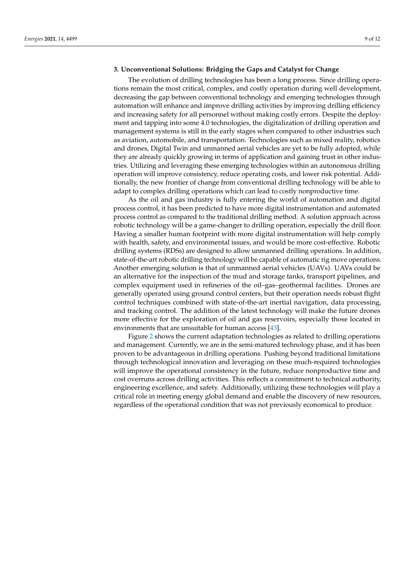# **3. Unconventional Solutions: Bridging the Gaps and Catalyst for Change**

The evolution of drilling technologies has been a long process. Since drilling operations remain the most critical, complex, and costly operation during well development, decreasing the gap between conventional technology and emerging technologies through automation will enhance and improve drilling activities by improving drilling efficiency and increasing safety for all personnel without making costly errors. Despite the deployment and tapping into some 4.0 technologies, the digitalization of drilling operation and management systems is still in the early stages when compared to other industries such as aviation, automobile, and transportation. Technologies such as mixed reality, robotics and drones, Digital Twin and unmanned aerial vehicles are yet to be fully adopted, while they are already quickly growing in terms of application and gaining trust in other industries. Utilizing and leveraging these emerging technologies within an autonomous drilling operation will improve consistency, reduce operating costs, and lower risk potential. Additionally, the new frontier of change from conventional drilling technology will be able to adapt to complex drilling operations which can lead to costly nonproductive time.

As the oil and gas industry is fully entering the world of automation and digital process control, it has been predicted to have more digital instrumentation and automated process control as compared to the traditional drilling method. A solution approach across robotic technology will be a game-changer to drilling operation, especially the drill floor. Having a smaller human footprint with more digital instrumentation will help comply with health, safety, and environmental issues, and would be more cost-effective. Robotic drilling systems (RDSs) are designed to allow unmanned drilling operations. In addition, state-of-the-art robotic drilling technology will be capable of automatic rig move operations. Another emerging solution is that of unmanned aerial vehicles (UAVs). UAVs could be an alternative for the inspection of the mud and storage tanks, transport pipelines, and complex equipment used in refineries of the oil–gas–geothermal facilities. Drones are generally operated using ground control centers, but their operation needs robust flight control techniques combined with state-of-the-art inertial navigation, data processing, and tracking control. The addition of the latest technology will make the future drones more effective for the exploration of oil and gas reservoirs, especially those located in environments that are unsuitable for human access [\[43\]](#page-11-11).

Figure [2](#page-9-0) shows the current adaptation technologies as related to drilling operations and management. Currently, we are in the semi-matured technology phase, and it has been proven to be advantageous in drilling operations. Pushing beyond traditional limitations through technological innovation and leveraging on these much-required technologies will improve the operational consistency in the future, reduce nonproductive time and cost overruns across drilling activities. This reflects a commitment to technical authority, engineering excellence, and safety. Additionally, utilizing these technologies will play a critical role in meeting energy global demand and enable the discovery of new resources, regardless of the operational condition that was not previously economical to produce.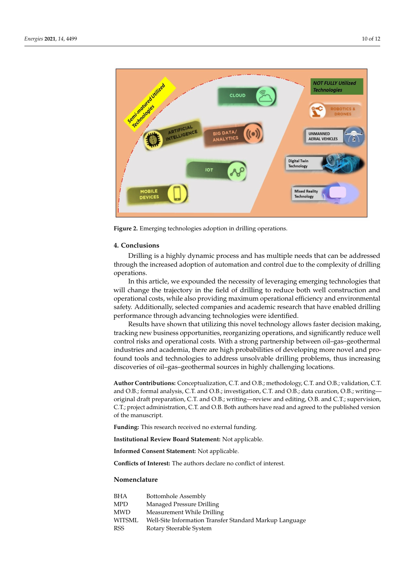<span id="page-9-0"></span>

**Figure 2.** Emerging technologies adoption in drilling operations.

#### **4. Conclusions**

Drilling is a highly dynamic process and has multiple needs that can be addressed through the increased adoption of automation and control due to the complexity of drilling operations.

In this article, we expounded the necessity of leveraging emerging technologies that will change the trajectory in the field of drilling to reduce both well construction and operational costs, while also providing maximum operational efficiency and environmental safety. Additionally, selected companies and academic research that have enabled drilling performance through advancing technologies were identified.

Results have shown that utilizing this novel technology allows faster decision making, tracking new business opportunities, reorganizing operations, and significantly reduce well control risks and operational costs. With a strong partnership between oil–gas–geothermal industries and academia, there are high probabilities of developing more novel and profound tools and technologies to address unsolvable drilling problems, thus increasing discoveries of oil–gas–geothermal sources in highly challenging locations.

**Author Contributions:** Conceptualization, C.T. and O.B.; methodology, C.T. and O.B.; validation, C.T. and O.B.; formal analysis, C.T. and O.B.; investigation, C.T. and O.B.; data curation, O.B.; writing original draft preparation, C.T. and O.B.; writing—review and editing, O.B. and C.T.; supervision, C.T.; project administration, C.T. and O.B. Both authors have read and agreed to the published version of the manuscript.

**Funding:** This research received no external funding.

**Institutional Review Board Statement:** Not applicable.

**Informed Consent Statement:** Not applicable.

**Conflicts of Interest:** The authors declare no conflict of interest.

# **Nomenclature**

| BHA        | Bottomhole Assembly                                     |
|------------|---------------------------------------------------------|
| <b>MPD</b> | Managed Pressure Drilling                               |
| <b>MWD</b> | Measurement While Drilling                              |
| WITSML     | Well-Site Information Transfer Standard Markup Language |
| <b>RSS</b> | Rotary Steerable System                                 |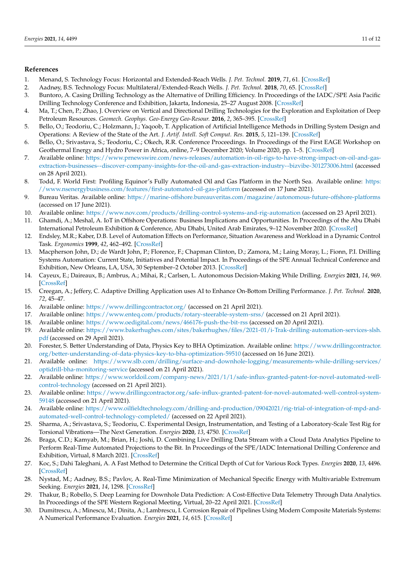### **References**

- <span id="page-10-0"></span>1. Menand, S. Technology Focus: Horizontal and Extended-Reach Wells. *J. Pet. Technol.* **2019**, *71*, 61. [\[CrossRef\]](http://doi.org/10.2118/1119-0061-JPT)
- 2. Aadnøy, B.S. Technology Focus: Multilateral/Extended-Reach Wells. *J. Pet. Technol.* **2018**, *70*, 65. [\[CrossRef\]](http://doi.org/10.2118/0518-0065-JPT)
- 3. Buntoro, A. Casing Drilling Technology as the Alternative of Drilling Efficiency. In Proceedings of the IADC/SPE Asia Pacific Drilling Technology Conference and Exhibition, Jakarta, Indonesia, 25–27 August 2008. [\[CrossRef\]](http://doi.org/10.2118/115283-MS)
- <span id="page-10-1"></span>4. Ma, T.; Chen, P.; Zhao, J. Overview on Vertical and Directional Drilling Technologies for the Exploration and Exploitation of Deep Petroleum Resources. *Geomech. Geophys. Geo-Energy Geo-Resour.* **2016**, *2*, 365–395. [\[CrossRef\]](http://doi.org/10.1007/s40948-016-0038-y)
- <span id="page-10-2"></span>5. Bello, O.; Teodoriu, C.; Holzmann, J.; Yaqoob, T. Application of Artificial Intelligence Methods in Drilling System Design and Operations: A Review of the State of the Art. *J. Artif. Intell. Soft Comput. Res.* **2015**, *5*, 121–139. [\[CrossRef\]](http://doi.org/10.1515/jaiscr-2015-0024)
- <span id="page-10-3"></span>6. Bello, O.; Srivastava, S.; Teodoriu, C.; Okech, R.R. Conference Proceedings. In Proceedings of the First EAGE Workshop on Geothermal Energy and Hydro Power in Africa, online, 7–9 December 2020; Volume 2020, pp. 1–5. [\[CrossRef\]](http://doi.org/10.3997/2214-4609.2020625009)
- <span id="page-10-4"></span>7. Available online: [https://www.prnewswire.com/news-releases/automation-in-oil-rigs-to-have-strong-impact-on-oil-and-gas](https://www.prnewswire.com/news-releases/automation-in-oil-rigs-to-have-strong-impact-on-oil-and-gas-extraction-businesses--discover-company-insights-for-the-oil-and-gas-extraction-industry--bizvibe-301273006.html)[extraction-businesses--discover-company-insights-for-the-oil-and-gas-extraction-industry--bizvibe-301273006.html](https://www.prnewswire.com/news-releases/automation-in-oil-rigs-to-have-strong-impact-on-oil-and-gas-extraction-businesses--discover-company-insights-for-the-oil-and-gas-extraction-industry--bizvibe-301273006.html) (accessed on 28 April 2021).
- <span id="page-10-5"></span>8. Todd, F. World First: Profiling Equinor's Fully Automated Oil and Gas Platform in the North Sea. Available online: [https:](https://www.nsenergybusiness.com/features/first-automated-oil-gas-platform) [//www.nsenergybusiness.com/features/first-automated-oil-gas-platform](https://www.nsenergybusiness.com/features/first-automated-oil-gas-platform) (accessed on 17 June 2021).
- <span id="page-10-6"></span>9. Bureau Veritas. Available online: <https://marine-offshore.bureauveritas.com/magazine/autonomous-future-offshore-platforms> (accessed on 17 June 2021).
- <span id="page-10-7"></span>10. Available online: <https://www.nov.com/products/drilling-control-systems-and-rig-automation> (accessed on 23 April 2021).
- <span id="page-10-8"></span>11. Ghamdi, A.; Meshal, A. IoT in Offshore Operations: Business Implications and Opportunities. In Proceedings of the Abu Dhabi International Petroleum Exhibition & Conference, Abu Dhabi, United Arab Emirates, 9–12 November 2020. [\[CrossRef\]](http://doi.org/10.2118/203091-MS)
- <span id="page-10-9"></span>12. Endsley, M.R.; Kaber, D.B. Level of Automation Effects on Performance, Situation Awareness and Workload in a Dynamic Control Task. *Ergonomics* **1999**, *42*, 462–492. [\[CrossRef\]](http://doi.org/10.1080/001401399185595)
- <span id="page-10-10"></span>13. Macpherson John, D.; de Wardt John, P.; Florence, F.; Chapman Clinton, D.; Zamora, M.; Laing Moray, L.; Fionn, P.I. Drilling Systems Automation: Current State, Initiatives and Potential Impact. In Proceedings of the SPE Annual Technical Conference and Exhibition, New Orleans, LA, USA, 30 September–2 October 2013. [\[CrossRef\]](http://doi.org/10.2118/166263-MS)
- <span id="page-10-11"></span>14. Cayeux, E.; Daireaux, B.; Ambrus, A.; Mihai, R.; Carlsen, L. Autonomous Decision-Making While Drilling. *Energies* **2021**, *14*, 969. [\[CrossRef\]](http://doi.org/10.3390/en14040969)
- <span id="page-10-12"></span>15. Creegan, A.; Jeffery, C. Adaptive Drilling Application uses AI to Enhance On-Bottom Drilling Performance. *J. Pet. Technol.* **2020**, *72*, 45–47.
- <span id="page-10-13"></span>16. Available online: <https://www.drillingcontractor.org/> (accessed on 21 April 2021).
- <span id="page-10-14"></span>17. Available online: <https://www.enteq.com/products/rotary-steerable-system-srss/> (accessed on 21 April 2021).
- <span id="page-10-15"></span>18. Available online: <https://www.oedigital.com/news/466176-push-the-bit-rss> (accessed on 20 April 2021).
- <span id="page-10-16"></span>19. Available online: [https://www.bakerhughes.com/sites/bakerhughes/files/2021-01/i-Trak-drilling-automation-services-slsh.](https://www.bakerhughes.com/sites/bakerhughes/files/2021-01/i-Trak-drilling-automation-services-slsh.pdf) [pdf](https://www.bakerhughes.com/sites/bakerhughes/files/2021-01/i-Trak-drilling-automation-services-slsh.pdf) (accessed on 29 April 2021).
- <span id="page-10-17"></span>20. Forester, S. Better Understanding of Data, Physics Key to BHA Optimization. Available online: [https://www.drillingcontractor.](https://www.drillingcontractor.org/better-understanding-of-data-physics-key-to-bha-optimization-59510) [org/better-understanding-of-data-physics-key-to-bha-optimization-59510](https://www.drillingcontractor.org/better-understanding-of-data-physics-key-to-bha-optimization-59510) (accessed on 16 June 2021).
- <span id="page-10-18"></span>21. Available online: [https://www.slb.com/drilling/surface-and-downhole-logging/measurements-while-drilling-services/](https://www.slb.com/drilling/surface-and-downhole-logging/measurements-while-drilling-services/optidrill-bha-monitoring-service) [optidrill-bha-monitoring-service](https://www.slb.com/drilling/surface-and-downhole-logging/measurements-while-drilling-services/optidrill-bha-monitoring-service) (accessed on 21 April 2021).
- <span id="page-10-19"></span>22. Available online: [https://www.worldoil.com/company-news/2021/1/1/safe-influx-granted-patent-for-novel-automated-well](https://www.worldoil.com/company-news/2021/1/1/safe-influx-granted-patent-for-novel-automated-well-control-technology)[control-technology](https://www.worldoil.com/company-news/2021/1/1/safe-influx-granted-patent-for-novel-automated-well-control-technology) (accessed on 21 April 2021).
- <span id="page-10-20"></span>23. Available online: [https://www.drillingcontractor.org/safe-influx-granted-patent-for-novel-automated-well-control-system-](https://www.drillingcontractor.org/safe-influx-granted-patent-for-novel-automated-well-control-system-59148)[59148](https://www.drillingcontractor.org/safe-influx-granted-patent-for-novel-automated-well-control-system-59148) (accessed on 21 April 2021).
- <span id="page-10-21"></span>24. Available online: [https://www.oilfieldtechnology.com/drilling-and-production/09042021/rig-trial-of-integration-of-mpd-and](https://www.oilfieldtechnology.com/drilling-and-production/09042021/rig-trial-of-integration-of-mpd-and-automated-well-control-technology-completed/)[automated-well-control-technology-completed/](https://www.oilfieldtechnology.com/drilling-and-production/09042021/rig-trial-of-integration-of-mpd-and-automated-well-control-technology-completed/) (accessed on 22 April 2021).
- <span id="page-10-22"></span>25. Sharma, A.; Srivastava, S.; Teodoriu, C. Experimental Design, Instrumentation, and Testing of a Laboratory-Scale Test Rig for Torsional Vibrations—The Next Generation. *Energies* **2020**, *13*, 4750. [\[CrossRef\]](http://doi.org/10.3390/en13184750)
- <span id="page-10-23"></span>26. Braga, C.D.; Kamyab, M.; Brian, H.; Joshi, D. Combining Live Drilling Data Stream with a Cloud Data Analytics Pipeline to Perform Real-Time Automated Projections to the Bit. In Proceedings of the SPE/IADC International Drilling Conference and Exhibition, Virtual, 8 March 2021. [\[CrossRef\]](http://doi.org/10.2118/204065-MS)
- <span id="page-10-24"></span>27. Koc, S.; Dahi Taleghani, A. A Fast Method to Determine the Critical Depth of Cut for Various Rock Types. *Energies* **2020**, *13*, 4496. [\[CrossRef\]](http://doi.org/10.3390/en13174496)
- <span id="page-10-25"></span>28. Nystad, M.; Aadnøy, B.S.; Pavlov, A. Real-Time Minimization of Mechanical Specific Energy with Multivariable Extremum Seeking. *Energies* **2021**, *14*, 1298. [\[CrossRef\]](http://doi.org/10.3390/en14051298)
- <span id="page-10-26"></span>29. Thakur, B.; Robello, S. Deep Learning for Downhole Data Prediction: A Cost-Effective Data Telemetry Through Data Analytics. In Proceedings of the SPE Western Regional Meeting, Virtual, 20–22 April 2021. [\[CrossRef\]](http://doi.org/10.2118/200870-MS)
- <span id="page-10-27"></span>30. Dumitrescu, A.; Minescu, M.; Dinita, A.; Lambrescu, I. Corrosion Repair of Pipelines Using Modern Composite Materials Systems: A Numerical Performance Evaluation. *Energies* **2021**, *14*, 615. [\[CrossRef\]](http://doi.org/10.3390/en14030615)